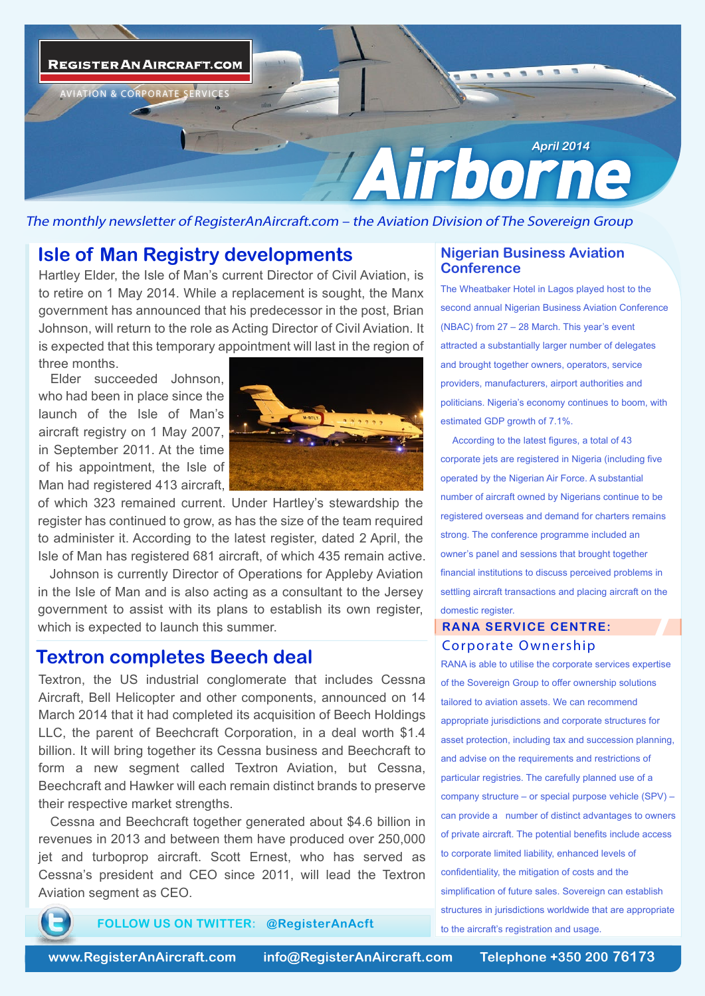

The monthly newsletter of RegisterAnAircraft.com – the Aviation Division of The Sovereign Group

#### **Isle of Man Registry developments**

Hartley Elder, the Isle of Man's current Director of Civil Aviation, is to retire on 1 May 2014. While a replacement is sought, the Manx government has announced that his predecessor in the post, Brian Johnson, will return to the role as Acting Director of Civil Aviation. It is expected that this temporary appointment will last in the region of three months.

Elder succeeded Johnson, who had been in place since the launch of the Isle of Man's aircraft registry on 1 May 2007, in September 2011. At the time of his appointment, the Isle of Man had registered 413 aircraft,



of which 323 remained current. Under Hartley's stewardship the register has continued to grow, as has the size of the team required to administer it. According to the latest register, dated 2 April, the Isle of Man has registered 681 aircraft, of which 435 remain active.

Johnson is currently Director of Operations for Appleby Aviation in the Isle of Man and is also acting as a consultant to the Jersey government to assist with its plans to establish its own register, which is expected to launch this summer.

### **Textron completes Beech deal** Corporate Ownership

Textron, the US industrial conglomerate that includes Cessna Aircraft, Bell Helicopter and other components, announced on 14 March 2014 that it had completed its acquisition of Beech Holdings LLC, the parent of Beechcraft Corporation, in a deal worth \$1.4 billion. It will bring together its Cessna business and Beechcraft to form a new segment called Textron Aviation, but Cessna, Beechcraft and Hawker will each remain distinct brands to preserve their respective market strengths.

Cessna and Beechcraft together generated about \$4.6 billion in revenues in 2013 and between them have produced over 250,000 jet and turboprop aircraft. Scott Ernest, who has served as Cessna's president and CEO since 2011, will lead the Textron Aviation segment as CEO.

**FOLLOW US ON TWITTER: @RegisterAnAcft**

#### **Nigerian Business Aviation Conference**

The Wheatbaker Hotel in Lagos played host to the second annual Nigerian Business Aviation Conference (NBAC) from 27 – 28 March. This year's event attracted a substantially larger number of delegates and brought together owners, operators, service providers, manufacturers, airport authorities and politicians. Nigeria's economy continues to boom, with estimated GDP growth of 7.1%.

According to the latest figures, a total of 43 corporate jets are registered in Nigeria (including five operated by the Nigerian Air Force. A substantial number of aircraft owned by Nigerians continue to be registered overseas and demand for charters remains strong. The conference programme included an owner's panel and sessions that brought together financial institutions to discuss perceived problems in settling aircraft transactions and placing aircraft on the domestic register.

## **RANA SERVICE CENTRE:**

RANA is able to utilise the corporate services expertise of the Sovereign Group to offer ownership solutions tailored to aviation assets. We can recommend appropriate jurisdictions and corporate structures for asset protection, including tax and succession planning, and advise on the requirements and restrictions of particular registries. The carefully planned use of a company structure – or special purpose vehicle (SPV) – can provide a number of distinct advantages to owners of private aircraft. The potential benefits include access to corporate limited liability, enhanced levels of confidentiality, the mitigation of costs and the simplification of future sales. Sovereign can establish structures in jurisdictions worldwide that are appropriate to the aircraft's registration and usage.